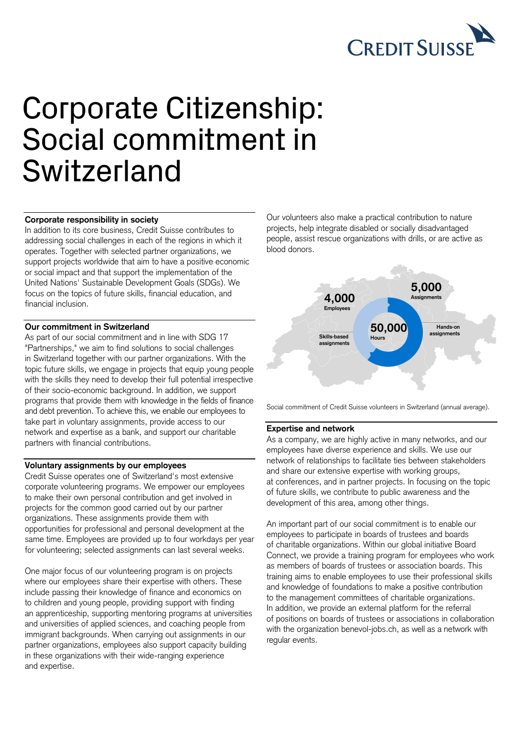

# Corporate Citizenship: Social commitment in Switzerland

#### **Corporate responsibility in society**

In addition to its core business, Credit Suisse contributes to addressing social challenges in each of the regions in which it operates. Together with selected partner organizations, we support projects worldwide that aim to have a positive economic or social impact and that support the implementation of the United Nations' Sustainable Development Goals (SDGs). We focus on the topics of future skills, financial education, and financial inclusion.

## **Our commitment in Switzerland**

As part of our social commitment and in line with SDG 17 "Partnerships," we aim to find solutions to social challenges in Switzerland together with our partner organizations. With the topic future skills, we engage in projects that equip young people with the skills they need to develop their full potential irrespective of their socio-economic background. In addition, we support programs that provide them with knowledge in the fields of finance and debt prevention. To achieve this, we enable our employees to take part in voluntary assignments, provide access to our network and expertise as a bank, and support our charitable partners with financial contributions.

## **Voluntary assignments by our employees**

Credit Suisse operates one of Switzerland's most extensive corporate volunteering programs. We empower our employees to make their own personal contribution and get involved in projects for the common good carried out by our partner organizations. These assignments provide them with opportunities for professional and personal development at the same time. Employees are provided up to four workdays per year for volunteering; selected assignments can last several weeks.

One major focus of our volunteering program is on projects where our employees share their expertise with others. These include passing their knowledge of finance and economics on to children and young people, providing support with finding an apprenticeship, supporting mentoring programs at universities and universities of applied sciences, and coaching people from immigrant backgrounds. When carrying out assignments in our partner organizations, employees also support capacity building in these organizations with their wide-ranging experience and expertise.

Our volunteers also make a practical contribution to nature projects, help integrate disabled or socially disadvantaged people, assist rescue organizations with drills, or are active as blood donors.



Social commitment of Credit Suisse volunteers in Switzerland (annual average).

## **Expertise and network**

As a company, we are highly active in many networks, and our employees have diverse experience and skills. We use our network of relationships to facilitate ties between stakeholders and share our extensive expertise with working groups, at conferences, and in partner projects. In focusing on the topic of future skills, we contribute to public awareness and the development of this area, among other things.

An important part of our social commitment is to enable our employees to participate in boards of trustees and boards of charitable organizations. Within our global initiative Board Connect, we provide a training program for employees who work as members of boards of trustees or association boards. This training aims to enable employees to use their professional skills and knowledge of foundations to make a positive contribution to the management committees of charitable organizations. In addition, we provide an external platform for the referral of positions on boards of trustees or associations in collaboration with the organization benevol-jobs.ch, as well as a network with regular events.